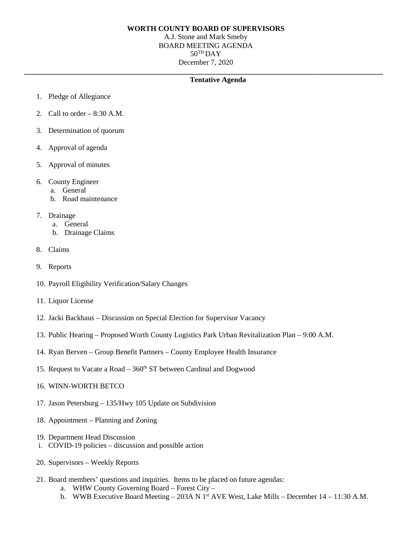## **WORTH COUNTY BOARD OF SUPERVISORS**

A.J. Stone and Mark Smeby BOARD MEETING AGENDA  $50^{\text{TH}}$ DAY December 7, 2020

**\_\_\_\_\_\_\_\_\_\_\_\_\_\_\_\_\_\_\_\_\_\_\_\_\_\_\_\_\_\_\_\_\_\_\_\_\_\_\_\_\_\_\_\_\_\_\_\_\_\_\_\_\_\_\_\_\_\_\_\_\_\_\_\_\_\_\_\_\_\_\_\_\_\_\_\_\_\_\_\_\_\_\_\_\_\_\_\_\_\_\_\_\_\_\_\_\_**

## **Tentative Agenda**

- 1. Pledge of Allegiance
- 2. Call to order  $-8:30$  A.M.
- 3. Determination of quorum
- 4. Approval of agenda
- 5. Approval of minutes
- 6. County Engineer
	- a. General
	- b. Road maintenance
- 7. Drainage
	- a. General
	- b. Drainage Claims
- 8. Claims
- 9. Reports
- 10. Payroll Eligibility Verification/Salary Changes
- 11. Liquor License
- 12. Jacki Backhaus Discussion on Special Election for Supervisor Vacancy
- 13. Public Hearing Proposed Worth County Logistics Park Urban Revitalization Plan 9:00 A.M.
- 14. Ryan Berven Group Benefit Partners County Employee Health Insurance
- 15. Request to Vacate a Road  $-360<sup>th</sup>$  ST between Cardinal and Dogwood
- 16. WINN-WORTH BETCO
- 17. Jason Petersburg 135/Hwy 105 Update on Subdivision
- 18. Appointment Planning and Zoning
- 19. Department Head Discussion
- i. COVID-19 policies discussion and possible action
- 20. Supervisors Weekly Reports
- 21. Board members' questions and inquiries. Items to be placed on future agendas:
	- a. WHW County Governing Board Forest City –
	- b. WWB Executive Board Meeting 203A N 1<sup>st</sup> AVE West, Lake Mills December 14 11:30 A.M.